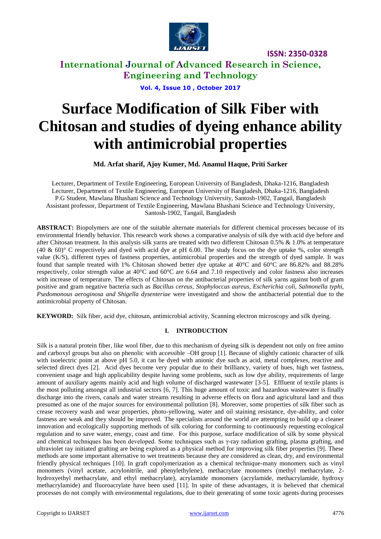

**International Journal of Advanced Research in Science, Engineering and Technology**

**Vol. 4, Issue 10 , October 2017**

# **Surface Modification of Silk Fiber with Chitosan and studies of dyeing enhance ability with antimicrobial properties**

**Md. Arfat sharif, Ajoy Kumer, Md. Anamul Haque, Priti Sarker**

Lecturer, Department of Textile Engineering, European University of Bangladesh, Dhaka-1216, Bangladesh Lecturer, Department of Textile Engineering, European University of Bangladesh, Dhaka-1216, Bangladesh P.G Student, Mawlana Bhashani Science and Technology University, Santosh-1902, Tangail, Bangladesh Assistant professor, Department of Textile Engineering, Mawlana Bhashani Science and Technology University, Santosh-1902, Tangail, Bangladesh

**ABSTRACT:** Biopolymers are one of the suitable alternate materials for different chemical processes because of its environmental friendly behavior. This research work shows a comparative analysis of silk dye with acid dye before and after Chitosan treatment. In this analysis silk yarns are treated with two different Chitosan 0.5% & 1.0% at temperature (40 & 60)° C respectively and dyed with acid dye at pH 6.00. The study focus on the dye uptake %, color strength value (K/S), different types of fastness properties, antimicrobial properties and the strength of dyed sample. It was found that sample treated with 1% Chitosan showed better dye uptake at 40°C and 60°C are 86.82% and 88.28% respectively, color strength value at 40°C and 60°C are 6.64 and 7.10 respectively and color fastness also increases with increase of temperature. The effects of Chitosan on the antibacterial properties of silk yarns against both of gram positive and gram negative bacteria such as *Bacillus cereus, Stophyloccus aureus, Escherichia coli, Salmonella typhi, Psedomonous aeroginosa and Shigella dysenteriae* were investigated and show the antibacterial potential due to the antimicrobial property of Chitosan.

**KEYWORD:** Silk fiber, acid dye, chitosan, antimicrobial activity, Scanning electron microscopy and silk dyeing.

#### **I. INTRODUCTION**

Silk is a natural protein fiber, like wool fiber, due to this mechanism of dyeing silk is dependent not only on free amino and carboxyl groups but also on phenolic with accessible –OH group [1]. Because of slightly cationic character of silk with isoelectric point at above pH 5.0, it can be dyed with anionic dye such as acid, metal complexes, reactive and selected direct dyes [2]. Acid dyes become very popular due to their brilliancy, variety of hues, high wet fastness, convenient usage and high applicability despite having some problems, such as low dye ability, requirements of large amount of auxiliary agents mainly acid and high volume of discharged wastewater [3-5]. Effluent of textile plants is the most polluting amongst all industrial sectors [6, 7]. This huge amount of toxic and hazardous wastewater is finally discharge into the rivers, canals and water streams resulting in adverse effects on flora and agricultural land and thus presumed as one of the major sources for environmental pollution [8]. Moreover, some properties of silk fiber such as crease recovery wash and wear properties, photo-yellowing, water and oil staining resistance, dye-ability, and color fastness are weak and they should be improved. The specialists around the world are attempting to build up a cleaner innovation and ecologically supporting methods of silk coloring for conforming to continuously requesting ecological regulation and to save water, energy, coast and time. For this purpose, surface modification of silk by some physical and chemical techniques has been developed. Some techniques such as  $\gamma$ -ray radiation grafting, plasma grafting, and ultraviolet ray initiated grafting are being explored as a physical method for improving silk fiber properties [9]. These methods are some important alternative to wet treatments because they are considered as clean, dry, and environmental friendly physical techniques [10]. In graft copolymerization as a chemical technique-many monomers such as vinyl monomers (vinyl acetate, acrylonitrile, and phenylethylene), methacrylate monomers (methyl methacrylate, 2 hydroxyethyl methacrylate, and ethyl methacrylate), acrylamide monomers (acrylamide, methacrylamide, hydroxy methacrylamide) and fluoroacrylate have been used [11]. In spite of these advantages, it is believed that chemical processes do not comply with environmental regulations, due to their generating of some toxic agents during processes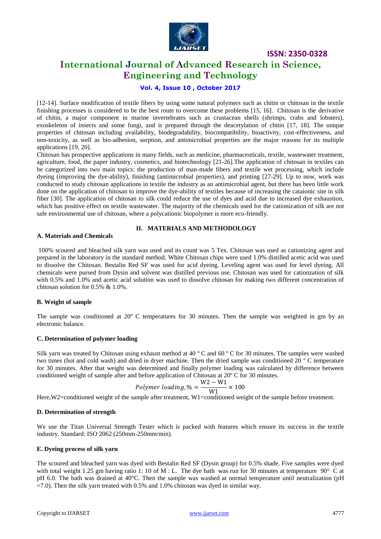

## **International Journal of Advanced Research in Science, Engineering and Technology**

#### **Vol. 4, Issue 10 , October 2017**

[12-14]. Surface modification of textile fibers by using some natural polymers such as chitin or chitosan in the textile finishing processes is considered to be the best route to overcome these problems [15, 16]. Chitosan is the derivative of chitin, a major component in marine invertebrates such as crustacean shells (shrimps, crabs and lobsters), exoskeleton of insects and some fungi, and is prepared through the deacetylation of chitin [17, 18]. The unique properties of chitosan including availability, biodegradability, biocompatibility, bioactivity, cost-effectiveness, and non-toxicity, as well as bio-adhesion, sorption, and antimicrobial properties are the major reasons for its multiple applications [19, 20].

Chitosan has prospective applications in many fields, such as medicine, pharmaceuticals, textile, wastewater treatment, agriculture, food, the paper industry, cosmetics, and biotechnology [21-26].The application of chitosan in textiles can be categorized into two main topics: the production of man-made fibers and textile wet processing, which include dyeing (improving the dye-ability), finishing (antimicrobial properties), and printing [27-29]. Up to now, work was conducted to study chitosan applications in textile the industry as an antimicrobial agent, but there has been little work done on the application of chitosan to improve the dye-ability of textiles because of increasing the cataionic site in silk fiber [30]. The application of chitosan to silk could reduce the use of dyes and acid due to increased dye exhaustion, which has positive effect on textile wastewater. The majority of the chemicals used for the cationization of silk are not safe environmental use of chitosan, where a polycationic biopolymer is more eco-friendly.

#### **II. MATERIALS AND METHODOLOGY**

#### **A. Materials and Chemicals**

100% scoured and bleached silk yarn was used and its count was 5 Tex. Chitosan was used as cationizing agent and prepared in the laboratory in the standard method. White Chitosan chips were used 1.0% distilled acetic acid was used to dissolve the Chitosan. Bestalin Red SF was used for acid dyeing. Leveling agent was used for level dyeing. All chemicals were pursed from Dysin and solvent was distilled previous use. Chitosan was used for cationzation of silk with 0.5% and 1.0% and acetic acid solution was used to dissolve chitosan for making two different concentration of chitosan solution for 0.5% & 1.0%.

#### **B. Weight of sample**

The sample was conditioned at 20º C temperatures for 30 minutes. Then the sample was weighted in gm by an electronic balance.

#### **C. Determination of polymer loading**

Silk yarn was treated by Chitosan using exhaust method at 40 º C and 60 º C for 30 minutes. The samples were washed two times (hot and cold wash) and dried in dryer machine. Then the dried sample was conditioned 20 º C temperature for 30 minutes. After that weight was determined and finally polymer loading was calculated by difference between conditioned weight of sample after and before application of Chitosan at 20º C for 30 minutes.

$$
Polymer~loading, \% = \frac{W2 - W1}{W1} \times 100
$$

Here,W2=conditioned weight of the sample after treatment, W1=conditioned weight of the sample before treatment.

#### **D. Determination of strength**

We use the Titan Universal Strength Tester which is packed with features which ensure its success in the textile industry. Standard: ISO 2062 (250mm-250mm/min).

#### **E. Dyeing process of silk yarn**

The scoured and bleached yarn was dyed with Bestalin Red SF (Dysin group) for 0.5% shade. Five samples were dyed with total weight 1.25 gm having ratio 1: 10 of M : L. The dye bath was run for 30 minutes at temperature  $90^\circ$  C at pH 6.0. The bath was drained at 40°C. Then the sample was washed at normal temperature until neutralization (pH  $=7.0$ ). Then the silk yarn treated with 0.5% and 1.0% chitosan was dyed in similar way.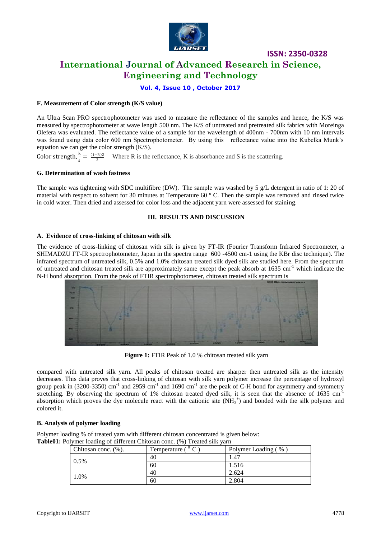

## **International Journal of Advanced Research in Science, Engineering and Technology**

**Vol. 4, Issue 10 , October 2017**

#### **F. Measurement of Color strength (K/S value)**

An Ultra Scan PRO spectrophotometer was used to measure the reflectance of the samples and hence, the K/S was measured by spectrophotometer at wave length 500 nm. The K/S of untreated and pretreated silk fabrics with Moreinga Olefera was evaluated. The reflectance value of a sample for the wavelength of 400nm - 700nm with 10 nm intervals was found using data color 600 nm Spectrophotometer. By using this reflectance value into the Kubelka Munk's equation we can get the color strength (K/S).

Color strength, $\frac{k}{2}$  $\frac{R}{s} = \frac{(1-R)2}{2}$  Where R is the reflectance, K is absorbance and S is the scattering.

#### **G. Determination of wash fastness**

The sample was tightening with SDC multifibre (DW). The sample was washed by 5 g/L detergent in ratio of 1: 20 of material with respect to solvent for 30 minutes at Temperature 60 º C. Then the sample was removed and rinsed twice in cold water. Then dried and assessed for color loss and the adjacent yarn were assessed for staining.

#### **III. RESULTS AND DISCUSSION**

#### **A. Evidence of cross-linking of chitosan with silk**

The evidence of cross-linking of chitosan with silk is given by FT-IR (Fourier Transform Infrared Spectrometer, a SHIMADZU FT-IR spectrophotometer, Japan in the spectra range 600 -4500 cm-1 using the KBr disc technique). The infrared spectrum of untreated silk, 0.5% and 1.0% chitosan treated silk dyed silk are studied here. From the spectrum of untreated and chitosan treated silk are approximately same except the peak absorb at  $1635 \text{ cm}^{-1}$  which indicate the N-H bond absorption. From the peak of FTIR spectrophotometer, chitosan treated silk spectrum is



**Figure 1:** FTIR Peak of 1.0 % chitosan treated silk yarn

compared with untreated silk yarn. All peaks of chitosan treated are sharper then untreated silk as the intensity decreases. This data proves that cross-linking of chitosan with silk yarn polymer increase the percentage of hydroxyl group peak in (3200-3350) cm<sup>-1</sup> and 2959 cm<sup>-1</sup> and 1690 cm<sup>-1</sup> are the peak of C-H bond for asymmetry and symmetry stretching. By observing the spectrum of 1% chitosan treated dyed silk, it is seen that the absence of  $1635 \text{ cm}^{-1}$ absorption which proves the dye molecule react with the cationic site  $(NH_3^+)$  and bonded with the silk polymer and colored it.

#### **B. Analysis of polymer loading**

Polymer loading % of treated yarn with different chitosan concentrated is given below: **Table01:** Polymer loading of different Chitosan conc. (%) Treated silk yarn

| Chitosan conc. (%). | Temperature ( | Polymer Loading (%) |
|---------------------|---------------|---------------------|
| $0.5\%$             | 40            | 1.47                |
|                     | 60            | 1.516               |
| 1.0%                | 40            | 2.624               |
|                     | 60            | 2.804               |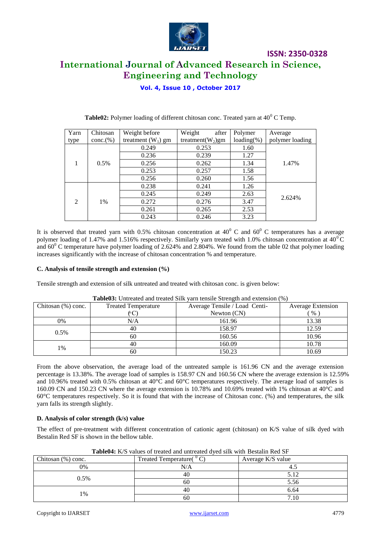

## **International Journal of Advanced Research in Science, Engineering and Technology**

**ISSN: 2350-0328**

**Vol. 4, Issue 10 , October 2017**

| Yarn           | Chitosan  | Weight before        | Weight<br>after      | Polymer      | Average         |
|----------------|-----------|----------------------|----------------------|--------------|-----------------|
| type           | conc.(% ) | treatment $(W_1)$ gm | treatment( $W_2$ )gm | $loading$ %) | polymer loading |
|                |           | 0.249                | 0.253                | 1.60         |                 |
|                |           | 0.236                | 0.239                | 1.27         |                 |
|                | 0.5%      | 0.256                | 0.262                | 1.34         | 1.47%           |
|                |           | 0.253                | 0.257                | 1.58         |                 |
|                |           | 0.256                | 0.260                | 1.56         |                 |
|                |           | 0.238                | 0.241                | 1.26         |                 |
|                |           | 0.245                | 0.249                | 2.63         |                 |
| $\mathfrak{D}$ | 1%        | 0.272                | 0.276                | 3.47         | 2.624%          |
|                |           | 0.261                | 0.265                | 2.53         |                 |
|                |           | 0.243                | 0.246                | 3.23         |                 |

**Table02:** Polymer loading of different chitosan conc. Treated yarn at  $40^{\circ}$  C Temp.

It is observed that treated yarn with 0.5% chitosan concentration at  $40^{\circ}$  C and  $60^{\circ}$  C temperatures has a average polymer loading of 1.47% and 1.516% respectively. Similarly yarn treated with 1.0% chitosan concentration at  $40^{\circ}$ C and  $60^{\circ}$  C temperature have polymer loading of 2.624% and 2.804%. We found from the table 02 that polymer loading increases significantly with the increase of chitosan concentration % and temperature.

#### **C. Analysis of tensile strength and extension (%)**

Tensile strength and extension of silk untreated and treated with chitosan conc. is given below:

| <b>Thoreof</b> Chilented and treated bink furn tensite buring the enterior of (70) |                            |                               |                          |  |  |  |
|------------------------------------------------------------------------------------|----------------------------|-------------------------------|--------------------------|--|--|--|
| Chitosan $(\%)$ conc.                                                              | <b>Treated Temperature</b> | Average Tensile / Load Centi- | <b>Average Extension</b> |  |  |  |
|                                                                                    |                            | Newton $(CN)$                 | $\%$                     |  |  |  |
| 0%                                                                                 | N/A                        | 161.96                        | 13.38                    |  |  |  |
| $0.5\%$                                                                            | 40                         | 158.97                        | 12.59                    |  |  |  |
|                                                                                    | 60                         | 160.56                        | 10.96                    |  |  |  |
| 1%                                                                                 | 40                         | 160.09                        | 10.78                    |  |  |  |
|                                                                                    | 60                         | 150.23                        | 10.69                    |  |  |  |

|  | <b>Table03:</b> Untreated and treated Silk yarn tensile Strength and extension (%) |  |
|--|------------------------------------------------------------------------------------|--|
|--|------------------------------------------------------------------------------------|--|

From the above observation, the average load of the untreated sample is 161.96 CN and the average extension percentage is 13.38%. The average load of samples is 158.97 CN and 160.56 CN where the average extension is 12.59% and 10.96% treated with 0.5% chitosan at 40°C and 60°C temperatures respectively. The average load of samples is 160.09 CN and 150.23 CN where the average extension is 10.78% and 10.69% treated with 1% chitosan at 40°C and 60°C temperatures respectively. So it is found that with the increase of Chitosan conc. (%) and temperatures, the silk yarn falls its strength slightly.

#### **D. Analysis of color strength (k/s) value**

The effect of pre-treatment with different concentration of cationic agent (chitosan) on K/S value of silk dyed with Bestalin Red SF is shown in the bellow table.

| $\sim$ which is a set of the second the second the second the second in the second second that $\sim$ |                            |                   |  |  |
|-------------------------------------------------------------------------------------------------------|----------------------------|-------------------|--|--|
| Chitosan $(\%)$ conc.                                                                                 | Treated Temperature( $C$ ) | Average K/S value |  |  |
| 0%                                                                                                    | N/A                        |                   |  |  |
| $0.5\%$                                                                                               | 40                         | 5.12              |  |  |
|                                                                                                       | 60                         | 5.56              |  |  |
|                                                                                                       | 40                         | 6.64              |  |  |
| 1%                                                                                                    | 60                         | 7.10              |  |  |

**Table04:** K/S values of treated and untreated dyed silk with Bestalin Red SF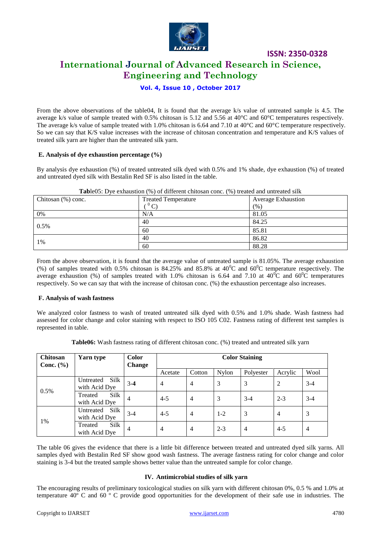

## **International Journal of Advanced Research in Science, Engineering and Technology**

#### **Vol. 4, Issue 10 , October 2017**

From the above observations of the table04, It is found that the average k/s value of untreated sample is 4.5. The average k/s value of sample treated with 0.5% chitosan is 5.12 and 5.56 at 40°C and 60°C temperatures respectively. The average k/s value of sample treated with 1.0% chitosan is 6.64 and 7.10 at 40°C and 60°C temperature respectively. So we can say that K/S value increases with the increase of chitosan concentration and temperature and K/S values of treated silk yarn are higher than the untreated silk yarn.

#### **E. Analysis of dye exhaustion percentage (%)**

By analysis dye exhaustion (%) of treated untreated silk dyed with 0.5% and 1% shade, dye exhaustion (%) of treated and untreated dyed silk with Bestalin Red SF is also listed in the table.

| Chitosan $(\%)$ conc. | <b>Treated Temperature</b> | <b>Average Exhaustion</b> |
|-----------------------|----------------------------|---------------------------|
|                       | $\sim$                     | (% )                      |
| 0%                    | N/A                        | 81.05                     |
| 0.5%                  | 40                         | 84.25                     |
|                       | 60                         | 85.81                     |
| 1%                    | 40                         | 86.82                     |
|                       | 60                         | 88.28                     |

#### **Tab**le05: Dye exhaustion (%) of different chitosan conc. (%) treated and untreated silk

From the above observation, it is found that the average value of untreated sample is 81.05%. The average exhaustion (%) of samples treated with 0.5% chitosan is 84.25% and 85.8% at  $40^{\circ}$ C and  $60^{\circ}$ C temperature respectively. The average exhaustion (%) of samples treated with 1.0% chitosan is 6.64 and 7.10 at  $40^{\circ}$ C and  $60^{\circ}$ C temperatures respectively. So we can say that with the increase of chitosan conc. (%) the exhaustion percentage also increases.

#### **F. Analysis of wash fastness**

We analyzed color fastness to wash of treated untreated silk dyed with 0.5% and 1.0% shade. Wash fastness had assessed for color change and color staining with respect to ISO 105 C02. Fastness rating of different test samples is represented in table.

**Table06:** Wash fastness rating of different chitosan conc. (%) treated and untreated silk yarn

| Chitosan<br>Conc. $(\% )$ | Yarn type                                 | <b>Color</b><br>Change | <b>Color Staining</b> |                |         |           |                |                |
|---------------------------|-------------------------------------------|------------------------|-----------------------|----------------|---------|-----------|----------------|----------------|
|                           |                                           |                        | Acetate               | Cotton         | Nylon   | Polyester | Acrylic        | Wool           |
|                           | Silk<br>Untreated<br>with Acid Dye        | $3 - 4$                | $\overline{4}$        | $\overline{4}$ | 3       | 3         | 2              | $3 - 4$        |
| 0.5%                      | Silk<br>Treated<br>with Acid Dye          | $\overline{4}$         | $4 - 5$               | $\overline{4}$ | 3       | $3-4$     | $2 - 3$        | $3-4$          |
| 1%                        | <b>Silk</b><br>Untreated<br>with Acid Dye | $3 - 4$                | $4 - 5$               | $\overline{4}$ | $1 - 2$ | 3         | $\overline{4}$ | 3              |
|                           | <b>Silk</b><br>Treated<br>with Acid Dye   | $\overline{4}$         | $\overline{4}$        | $\overline{4}$ | $2 - 3$ | 4         | $4-5$          | $\overline{4}$ |

The table 06 gives the evidence that there is a little bit difference between treated and untreated dyed silk yarns. All samples dyed with Bestalin Red SF show good wash fastness. The average fastness rating for color change and color staining is 3-4 but the treated sample shows better value than the untreated sample for color change.

#### **IV. Antimicrobial studies of silk yarn**

The encouraging results of preliminary toxicological studies on silk yarn with different chitosan 0%, 0.5 % and 1.0% at temperature 40º C and 60 º C provide good opportunities for the development of their safe use in industries. The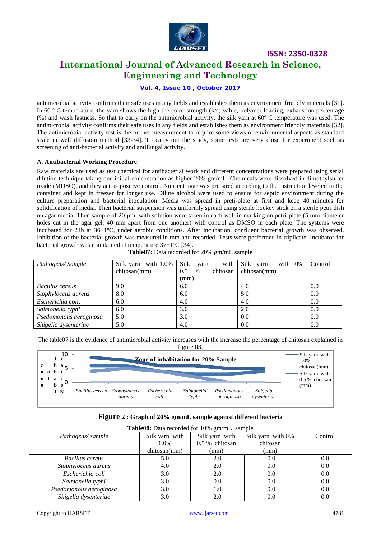

## **International Journal of Advanced Research in Science, Engineering and Technology**

#### **Vol. 4, Issue 10 , October 2017**

antimicrobial activity confirms their safe uses in any fields and establishes them as environment friendly materials [31]. In 60  $\degree$  C temperature, the yarn shows the high the color strength (k/s) value, polymer loading, exhaustion percentage (%) and wash fastness. So that to carry on the antimicrobial activity, the silk yarn at 60º C temperature was used. The antimicrobial activity confirms their safe uses in any fields and establishes them as environment friendly materials [32]. The antimicrobial activity test is the further measurement to require some views of environmental aspects as standard scale in well diffusion method [33-34]. To carry out the study, some tests are very close for experiment such as screening of anti-bacterial activity and antifungal activity.

#### **A. Antibacterial Working Procedure**

Raw materials are used as test chemical for antibacterial work and different concentrations were prepared using serial dilution technique taking one initial concentration as higher 20% gm/mL. Chemicals were dissolved in dimethylsulfer oxide (MDSO), and they act as positive control. Nutrient agar was prepared according to the instruction leveled in the container and kept in freezer for longer use. Dilute alcohol were used to ensure for septic environment during the culture preparation and bacterial inoculation. Media was spread in preti-plate at first and keep 40 minutes for solidification of media. Then bacterial suspension was uniformly spread using sterile hockey stick on a sterile petri dish on agar media. Then sample of 20 µml with solution were taken in each well in marking on petri-plate (5 mm diameter holes cut in the agar gel, 40 mm apart from one another) with control as DMSO in each plate. The systems were incubated for 24h at 36±1ºC, under aerobic conditions. After incubation, confluent bacterial growth was observed. Inhibition of the bacterial growth was measured in mm and recorded. Tests were performed in triplicate. Incubator for bacterial growth was maintained at temperature  $37\pm1\text{°C}$  [34].

| Pathogens/Sample       | Silk yarn with 1.0% | Silk<br>with<br>yarn    | Silk yarn<br>with 0% | Control |
|------------------------|---------------------|-------------------------|----------------------|---------|
|                        | chitosan(mm)        | chitosan<br>0.5<br>$\%$ | chitosan(mm)         |         |
|                        |                     | (mm)                    |                      |         |
| Bacillus cereus        | 9.0                 | 6.0                     | 4.0                  | 0.0     |
| Stophyloccus aureus    | 8.0                 | 6.0                     | 5.0                  | 0.0     |
| Escherichia coli,      | 6.0                 | 4.0                     | 4.0                  | 0.0     |
| Salmonella typhi       | 6.0                 | 3.0                     | 2.0                  | 0.0     |
| Psedomonous aeroginosa | 5.0                 | 3.0                     | 0.0                  | 0.0     |
| Shigella dysenteriae   | 5.0                 | 4.0                     | 0.0                  | 0.0     |

**Table07:** Data recorded for 20% gm/mL sample

The table07 is the evidence of antimicrobial activity increases with the increase the percentage of chitosan explained in figure 03.



|  | Figure 2 : Graph of 20% gm/mL sample against different bacteria |  |  |  |  |
|--|-----------------------------------------------------------------|--|--|--|--|
|--|-----------------------------------------------------------------|--|--|--|--|

| Table08: Data recorded for 10% gm/mL sample |                |                |                   |         |  |  |  |
|---------------------------------------------|----------------|----------------|-------------------|---------|--|--|--|
| Pathogens/sample                            | Silk yarn with | Silk yarn with | Silk yarn with 0% | Control |  |  |  |
|                                             | 1.0%           | 0.5 % chitosan | chitosan          |         |  |  |  |
|                                             | chitosan(mm)   | (mm)           | (mm)              |         |  |  |  |
| <b>Bacillus cereus</b>                      | 5.0            | 2.0            | 0.0               | 0.0     |  |  |  |
| Stophyloccus aureus                         | 4.0            | 2.0            | 0.0               | 0.0     |  |  |  |
| Escherichia coli                            | 3.0            | 2.0            | 0.0               | 0.0     |  |  |  |
| Salmonella typhi                            | 3.0            | 0.0            | 0.0               | 0.0     |  |  |  |
| Psedomonous aeroginosa                      | 3.0            | 1.0            | 0.0               | 0.0     |  |  |  |
| Shigella dysenteriae                        | 3.0            | 2.0            | 0.0               | 0.0     |  |  |  |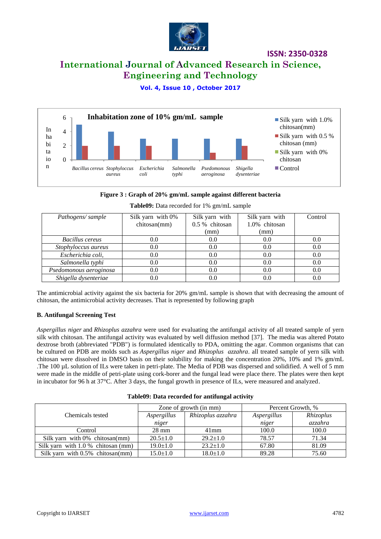

## **International Journal of Advanced Research in Science, Engineering and Technology**

**Vol. 4, Issue 10 , October 2017**



#### **Figure 3 : Graph of 20% gm/mL sample against different bacteria**

| Pathogens/sample       | Silk yarn with 0%<br>chitosan(mm) | Silk yarn with<br>0.5 % chitosan | Silk yarn with<br>1.0% chitosan | Control |
|------------------------|-----------------------------------|----------------------------------|---------------------------------|---------|
|                        |                                   | (mm)                             | (mm)                            |         |
| Bacillus cereus        | 0.0                               | 0.0                              | 0.0                             | 0.0     |
| Stophyloccus aureus    | 0.0                               | 0.0                              | 0.0                             | 0.0     |
| Escherichia coli,      | 0.0                               | 0.0                              | 0.0                             | 0.0     |
| Salmonella typhi       | 0.0                               | 0.0                              | 0.0                             | 0.0     |
| Psedomonous aeroginosa | 0.0                               | 0.0                              | 0.0                             | 0.0     |
| Shigella dysenteriae   | 0.0                               | 0.0                              | 0.0                             | 0.0     |

**Table09:** Data recorded for 1% gm/mL sample

The antimicrobial activity against the six bacteria for 20% gm/mL sample is shown that with decreasing the amount of chitosan, the antimicrobial activity decreases. That is represented by following graph

#### **B. Antifungal Screening Test**

*Aspergillus niger* and *Rhizoplus azzahra* were used for evaluating the antifungal activity of all treated sample of yern silk with chitosan. The antifungal activity was evaluated by well diffusion method [37]. The media was altered Potato dextrose broth (abbreviated "PDB") is formulated identically to PDA, omitting the agar. Common organisms that can be cultured on PDB are molds such as *Aspergillus niger* and *Rhizoplus azzahra*. all treated sample of yern silk with chitosan were dissolved in DMSO basis on their solubility for making the concentration 20%, 10% and 1% gm/mL .The 100 µL solution of ILs were taken in petri-plate. The Media of PDB was dispersed and solidified. A well of 5 mm were made in the middle of petri-plate using cork-borer and the fungal lead were place there. The plates were then kept in incubator for 96 h at 37°C. After 3 days, the fungal growth in presence of ILs, were measured and analyzed.

| Table09: Data recorded for antifungal activity |  |  |  |  |  |  |
|------------------------------------------------|--|--|--|--|--|--|
|------------------------------------------------|--|--|--|--|--|--|

|                                      | Zone of growth (in mm) |                   | Percent Growth, % |           |
|--------------------------------------|------------------------|-------------------|-------------------|-----------|
| Chemicals tested                     | Aspergillus            | Rhizoplus azzahra | Aspergillus       | Rhizoplus |
|                                      | niger                  |                   | niger             | azzahra   |
| Control                              | $28 \text{ mm}$        | $41$ mm           | 100.0             | 100.0     |
| Silk yarn with $0\%$ chitosan(mm)    | $20.5 \pm 1.0$         | $29.2 \pm 1.0$    | 78.57             | 71.34     |
| Silk yarn with $1.0\%$ chitosan (mm) | $19.0 \pm 1.0$         | $23.2 \pm 1.0$    | 67.80             | 81.09     |
| Silk yarn with $0.5\%$ chitosan(mm)  | $15.0 \pm 1.0$         | $18.0 \pm 1.0$    | 89.28             | 75.60     |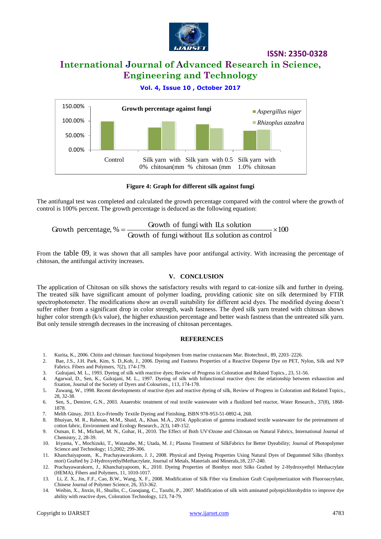

## **International Journal of Advanced Research in Science, Engineering and Technology**

#### **Vol. 4, Issue 10 , October 2017**



#### **Figure 4: Graph for different silk against fungi**

The antifungal test was completed and calculated the growth percentage compared with the control where the growth of control is 100% percent. The growth percentage is deduced as the following equation:

 $-x100$ Growth of fungi without ILs solution as control Growth percentage,  $\% = \frac{\text{Growth of fungi with ILS solution}}{\text{Gaussian MSE}} \times$ 

From the table 09, it was shown that all samples have poor antifungal activity. With increasing the percentage of chitosan, the antifungal activity increases.

#### **V. CONCLUSION**

The application of Chitosan on silk shows the satisfactory results with regard to cat-ionize silk and further in dyeing. The treated silk have significant amount of polymer loading, providing cationic site on silk determined by FTIR spectrophotometer. The modifications show an overall suitability for different acid dyes. The modified dyeing doesn't suffer either from a significant drop in color strength, wash fastness. The dyed silk yarn treated with chitosan shows higher color strength (k/s value), the higher exhaustion percentage and better wash fastness than the untreated silk yarn. But only tensile strength decreases in the increasing of chitosan percentages.

#### **REFERENCES**

- 1. Kurita, K., 2006. Chitin and chitosan: functional biopolymers from marine crustaceans Mar. Biotechnol., 89, 2203–2226.
- 2. Bae, J.S., J.H. Park*,* Kim, S. D.,Koh, J., 2006. Dyeing and Fastness Properties of a Reactive Disperse Dye on PET, Nylon, Silk and N/P Fabrics. Fibers and Polymers, 7(2), 174-179.
- 3. Gulrajani, M. L., 1993. Dyeing of silk with reactive dyes; Review of Progress in Coloration and Related Topics., 23, 51-56.
- 4. Agarwal, D., Sen, K., Gulrajani, M. L., 1997. Dyeing of silk with bifunctional reactive dyes: the relationship between exhaustion and fixation, Journal of the Society of Dyers and Colourists., 113, 174-178.
- 5. Zuwang, W., 1998. Recent developments of reactive dyes and reactive dyeing of silk, Review of Progress in Coloration and Related Topics., 28, 32-38.
- 6. Sen, S., Demirer, G.N., 2003. Anaerobic treatment of real textile wastewater with a fluidized bed reactor, Water Research., 37(8), 1868- 1878.
- 7. Melih Günay, 2013. Eco-Friendly Textile Dyeing and Finishing, ISBN 978-953-51-0892-4, 268.
- 8. Bhuiyan, M. R., Rahman, M.M., Shaid, A., Khan. M.A., 2014. Application of gamma irradiated textile wastewater for the pretreatment of cotton fabric, Environment and Ecology Research., 2(3), 149-152.
- 9. Osman, E. M., Michael, M. N., Gohar, H., 2010. The Effect of Both UV\Ozone and Chitosan on Natural Fabrics, International Journal of Chemistry, 2, 28-39.
- 10. Iriyama, Y., Mochizuki, T., Watanabe, M.; Utada, M. J.; Plasma Treatment of SilkFabrics for Better Dyeability; Journal of Photopolymer Science and Technology; 15;2002; 299-306.
- 11. Khanchaiyapoom, K., Prachayawarakorn, J. J., 2008. Physical and Dyeing Properties Using Natural Dyes of Degummed Silks (Bombyx mori) Grafted by 2-HydroxyethylMethacrylate, Journal of Metals, Materials and Minerals,18, 237-240.
- 12. Prachayawarakorn, J., Khanchaiyapoom, K., 2010. Dyeing Properties of Bombyx mori Silks Grafted by 2-Hydroxyethyl Methacrylate (HEMA), Fibers and Polymers, 11, 1010-1017.
- 13. Li, Z. X., Jin, F.F., Cao, B.W., Wang, X. F., 2008. Modification of Silk Fiber via Emulsion Graft Copolymerization with Fluoroacrylate, Chinese Journal of Polymer Science, 26, 353-362.
- 14. Weibin, X., Jinxin, H., Shuilin, C., Guoqiang, C., Taozhi, P., 2007. Modification of silk with aminated polyepichlorohydrin to improve dye ability with reactive dyes, Coloration Technology, 123, 74-79.